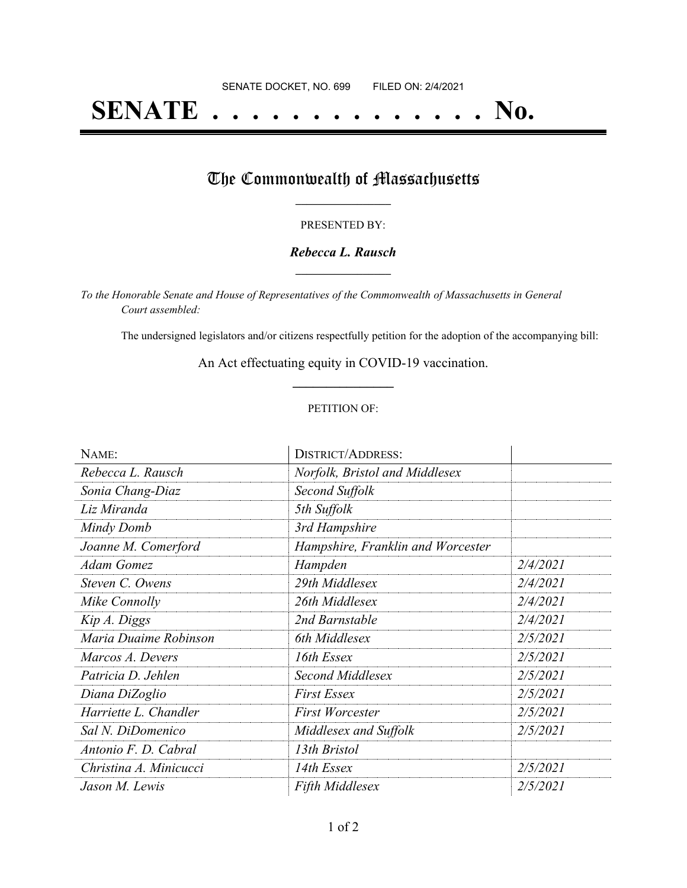# **SENATE . . . . . . . . . . . . . . No.**

## The Commonwealth of Massachusetts

#### PRESENTED BY:

#### *Rebecca L. Rausch* **\_\_\_\_\_\_\_\_\_\_\_\_\_\_\_\_\_**

*To the Honorable Senate and House of Representatives of the Commonwealth of Massachusetts in General Court assembled:*

The undersigned legislators and/or citizens respectfully petition for the adoption of the accompanying bill:

An Act effectuating equity in COVID-19 vaccination. **\_\_\_\_\_\_\_\_\_\_\_\_\_\_\_**

#### PETITION OF:

| NAME:                  | <b>DISTRICT/ADDRESS:</b>          |          |
|------------------------|-----------------------------------|----------|
| Rebecca L. Rausch      | Norfolk, Bristol and Middlesex    |          |
| Sonia Chang-Diaz       | Second Suffolk                    |          |
| Liz Miranda            | 5th Suffolk                       |          |
| Mindy Domb             | 3rd Hampshire                     |          |
| Joanne M. Comerford    | Hampshire, Franklin and Worcester |          |
| Adam Gomez             | Hampden                           | 2/4/2021 |
| Steven C. Owens        | 29th Middlesex                    | 2/4/2021 |
| Mike Connolly          | 26th Middlesex                    | 2/4/2021 |
| Kip A. Diggs           | 2nd Barnstable                    | 2/4/2021 |
| Maria Duaime Robinson  | 6th Middlesex                     | 2/5/2021 |
| Marcos A. Devers       | 16th Essex                        | 2/5/2021 |
| Patricia D. Jehlen     | Second Middlesex                  | 2/5/2021 |
| Diana DiZoglio         | <b>First Essex</b>                | 2/5/2021 |
| Harriette L. Chandler  | <b>First Worcester</b>            | 2/5/2021 |
| Sal N. DiDomenico      | Middlesex and Suffolk             | 2/5/2021 |
| Antonio F. D. Cabral   | 13th Bristol                      |          |
| Christina A. Minicucci | 14th Essex                        | 2/5/2021 |
| Jason M. Lewis         | <b>Fifth Middlesex</b>            | 2/5/2021 |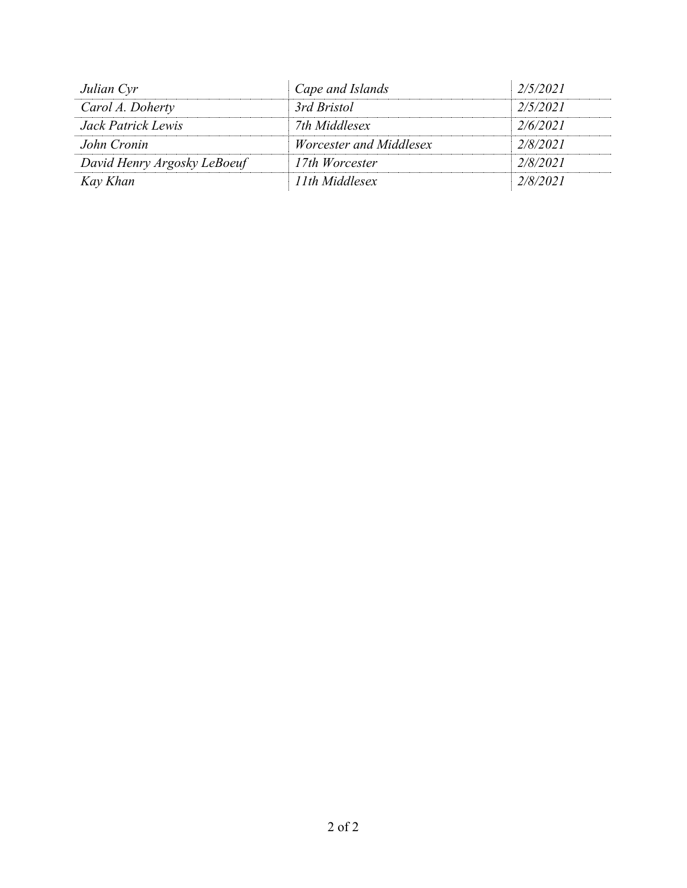| Julian Cyr                  | Cape and Islands               | 2/5/2021 |
|-----------------------------|--------------------------------|----------|
| Carol A. Doherty            | 3rd Bristol                    | 2/5/2021 |
| Jack Patrick Lewis          | 7th Middlesex                  | 2/6/2021 |
| John Cronin                 | <i>Worcester and Middlesex</i> | 2/8/2021 |
| David Henry Argosky LeBoeuf | 17th Worcester                 | 2/8/2021 |
| Kay Khan                    | 11th Middlesex                 | 2/8/2021 |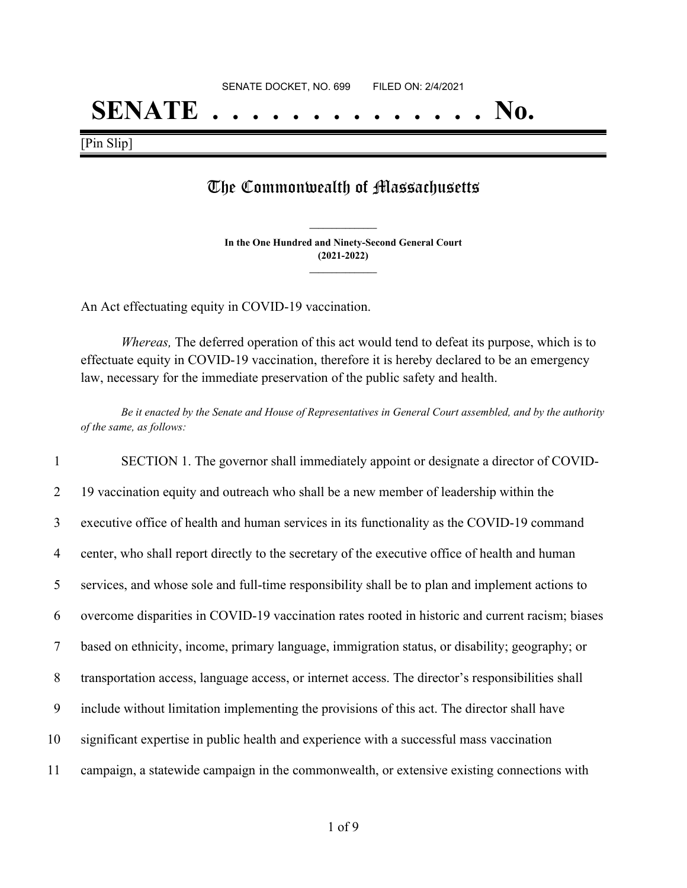## **SENATE . . . . . . . . . . . . . . No.**

[Pin Slip]

### The Commonwealth of Massachusetts

**In the One Hundred and Ninety-Second General Court (2021-2022) \_\_\_\_\_\_\_\_\_\_\_\_\_\_\_**

**\_\_\_\_\_\_\_\_\_\_\_\_\_\_\_**

An Act effectuating equity in COVID-19 vaccination.

*Whereas,* The deferred operation of this act would tend to defeat its purpose, which is to effectuate equity in COVID-19 vaccination, therefore it is hereby declared to be an emergency law, necessary for the immediate preservation of the public safety and health.

Be it enacted by the Senate and House of Representatives in General Court assembled, and by the authority *of the same, as follows:*

 SECTION 1. The governor shall immediately appoint or designate a director of COVID-2 19 vaccination equity and outreach who shall be a new member of leadership within the executive office of health and human services in its functionality as the COVID-19 command center, who shall report directly to the secretary of the executive office of health and human services, and whose sole and full-time responsibility shall be to plan and implement actions to overcome disparities in COVID-19 vaccination rates rooted in historic and current racism; biases based on ethnicity, income, primary language, immigration status, or disability; geography; or transportation access, language access, or internet access. The director's responsibilities shall include without limitation implementing the provisions of this act. The director shall have significant expertise in public health and experience with a successful mass vaccination campaign, a statewide campaign in the commonwealth, or extensive existing connections with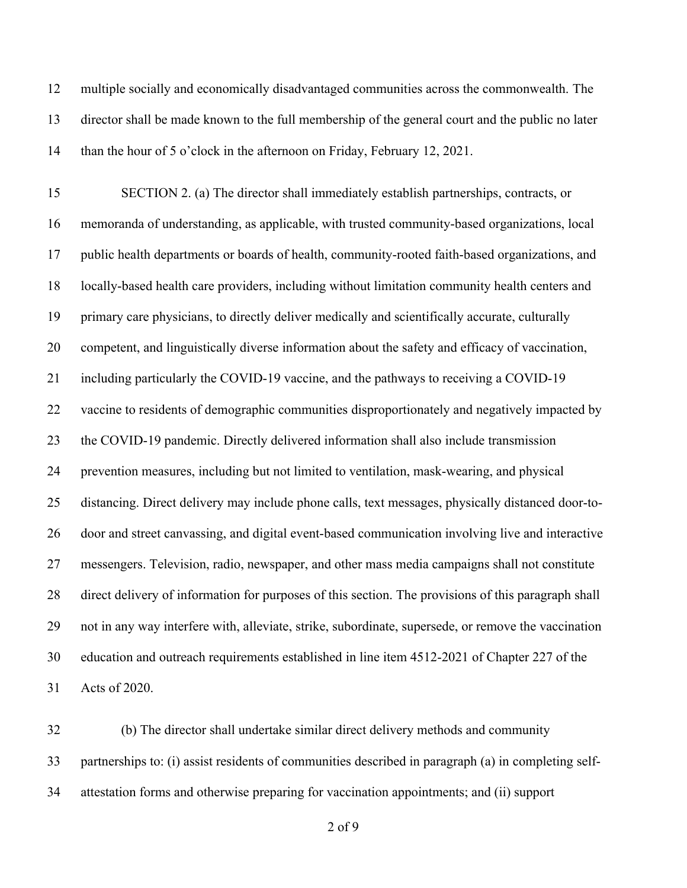multiple socially and economically disadvantaged communities across the commonwealth. The director shall be made known to the full membership of the general court and the public no later than the hour of 5 o'clock in the afternoon on Friday, February 12, 2021.

 SECTION 2. (a) The director shall immediately establish partnerships, contracts, or memoranda of understanding, as applicable, with trusted community-based organizations, local public health departments or boards of health, community-rooted faith-based organizations, and locally-based health care providers, including without limitation community health centers and primary care physicians, to directly deliver medically and scientifically accurate, culturally competent, and linguistically diverse information about the safety and efficacy of vaccination, including particularly the COVID-19 vaccine, and the pathways to receiving a COVID-19 vaccine to residents of demographic communities disproportionately and negatively impacted by the COVID-19 pandemic. Directly delivered information shall also include transmission prevention measures, including but not limited to ventilation, mask-wearing, and physical distancing. Direct delivery may include phone calls, text messages, physically distanced door-to- door and street canvassing, and digital event-based communication involving live and interactive messengers. Television, radio, newspaper, and other mass media campaigns shall not constitute direct delivery of information for purposes of this section. The provisions of this paragraph shall not in any way interfere with, alleviate, strike, subordinate, supersede, or remove the vaccination education and outreach requirements established in line item 4512-2021 of Chapter 227 of the Acts of 2020.

 (b) The director shall undertake similar direct delivery methods and community partnerships to: (i) assist residents of communities described in paragraph (a) in completing self-attestation forms and otherwise preparing for vaccination appointments; and (ii) support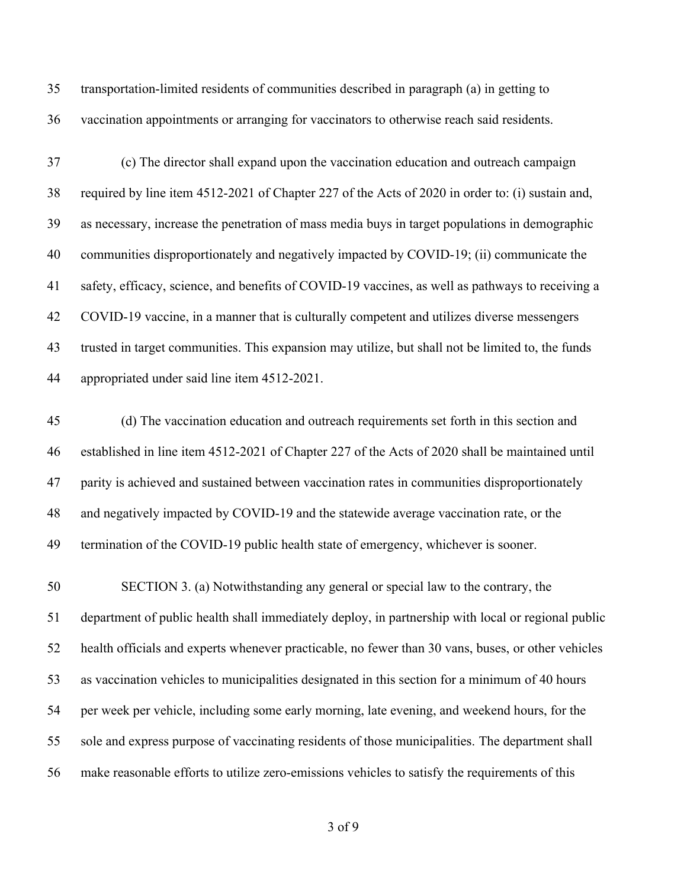transportation-limited residents of communities described in paragraph (a) in getting to vaccination appointments or arranging for vaccinators to otherwise reach said residents.

 (c) The director shall expand upon the vaccination education and outreach campaign required by line item 4512-2021 of Chapter 227 of the Acts of 2020 in order to: (i) sustain and, as necessary, increase the penetration of mass media buys in target populations in demographic communities disproportionately and negatively impacted by COVID-19; (ii) communicate the safety, efficacy, science, and benefits of COVID-19 vaccines, as well as pathways to receiving a COVID-19 vaccine, in a manner that is culturally competent and utilizes diverse messengers trusted in target communities. This expansion may utilize, but shall not be limited to, the funds appropriated under said line item 4512-2021.

 (d) The vaccination education and outreach requirements set forth in this section and established in line item 4512-2021 of Chapter 227 of the Acts of 2020 shall be maintained until parity is achieved and sustained between vaccination rates in communities disproportionately and negatively impacted by COVID-19 and the statewide average vaccination rate, or the termination of the COVID-19 public health state of emergency, whichever is sooner.

 SECTION 3. (a) Notwithstanding any general or special law to the contrary, the department of public health shall immediately deploy, in partnership with local or regional public health officials and experts whenever practicable, no fewer than 30 vans, buses, or other vehicles as vaccination vehicles to municipalities designated in this section for a minimum of 40 hours per week per vehicle, including some early morning, late evening, and weekend hours, for the sole and express purpose of vaccinating residents of those municipalities. The department shall make reasonable efforts to utilize zero-emissions vehicles to satisfy the requirements of this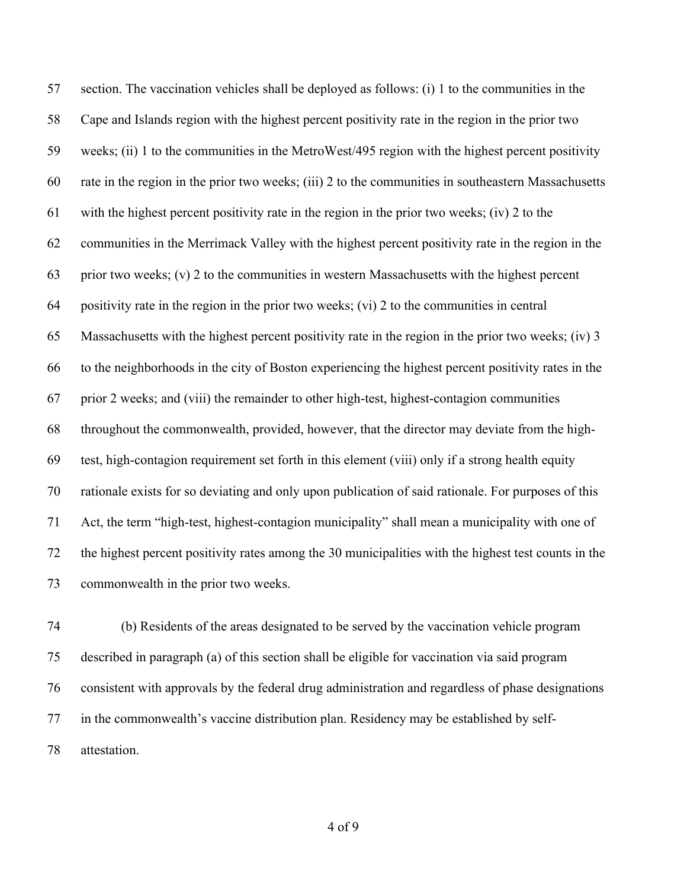section. The vaccination vehicles shall be deployed as follows: (i) 1 to the communities in the Cape and Islands region with the highest percent positivity rate in the region in the prior two weeks; (ii) 1 to the communities in the MetroWest/495 region with the highest percent positivity rate in the region in the prior two weeks; (iii) 2 to the communities in southeastern Massachusetts with the highest percent positivity rate in the region in the prior two weeks; (iv) 2 to the communities in the Merrimack Valley with the highest percent positivity rate in the region in the prior two weeks; (v) 2 to the communities in western Massachusetts with the highest percent positivity rate in the region in the prior two weeks; (vi) 2 to the communities in central Massachusetts with the highest percent positivity rate in the region in the prior two weeks; (iv) 3 to the neighborhoods in the city of Boston experiencing the highest percent positivity rates in the prior 2 weeks; and (viii) the remainder to other high-test, highest-contagion communities throughout the commonwealth, provided, however, that the director may deviate from the high- test, high-contagion requirement set forth in this element (viii) only if a strong health equity rationale exists for so deviating and only upon publication of said rationale. For purposes of this Act, the term "high-test, highest-contagion municipality" shall mean a municipality with one of the highest percent positivity rates among the 30 municipalities with the highest test counts in the commonwealth in the prior two weeks.

 (b) Residents of the areas designated to be served by the vaccination vehicle program described in paragraph (a) of this section shall be eligible for vaccination via said program consistent with approvals by the federal drug administration and regardless of phase designations in the commonwealth's vaccine distribution plan. Residency may be established by self-attestation.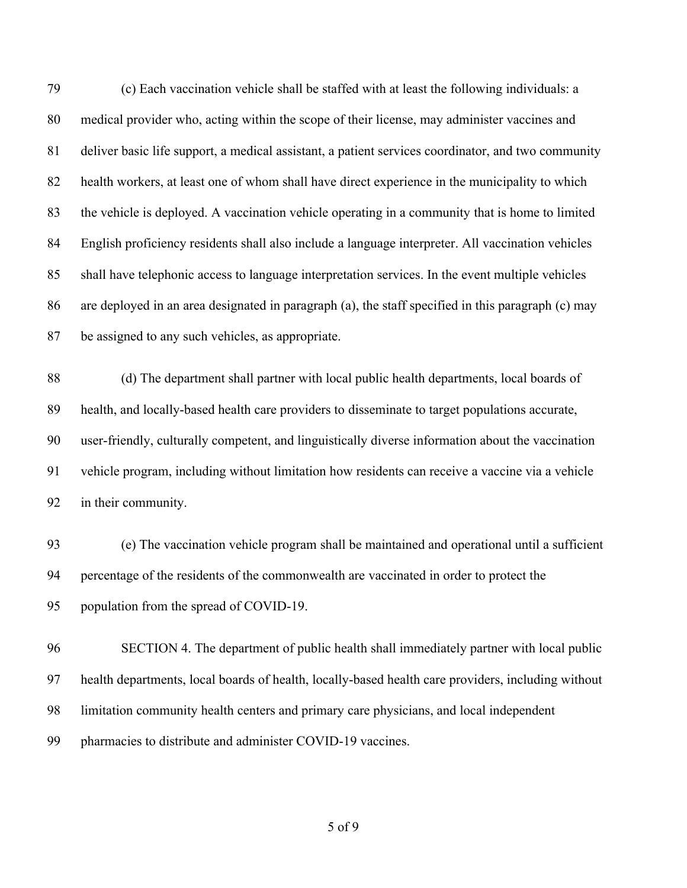(c) Each vaccination vehicle shall be staffed with at least the following individuals: a medical provider who, acting within the scope of their license, may administer vaccines and deliver basic life support, a medical assistant, a patient services coordinator, and two community health workers, at least one of whom shall have direct experience in the municipality to which the vehicle is deployed. A vaccination vehicle operating in a community that is home to limited English proficiency residents shall also include a language interpreter. All vaccination vehicles shall have telephonic access to language interpretation services. In the event multiple vehicles are deployed in an area designated in paragraph (a), the staff specified in this paragraph (c) may be assigned to any such vehicles, as appropriate.

 (d) The department shall partner with local public health departments, local boards of health, and locally-based health care providers to disseminate to target populations accurate, user-friendly, culturally competent, and linguistically diverse information about the vaccination vehicle program, including without limitation how residents can receive a vaccine via a vehicle in their community.

 (e) The vaccination vehicle program shall be maintained and operational until a sufficient percentage of the residents of the commonwealth are vaccinated in order to protect the population from the spread of COVID-19.

 SECTION 4. The department of public health shall immediately partner with local public health departments, local boards of health, locally-based health care providers, including without limitation community health centers and primary care physicians, and local independent pharmacies to distribute and administer COVID-19 vaccines.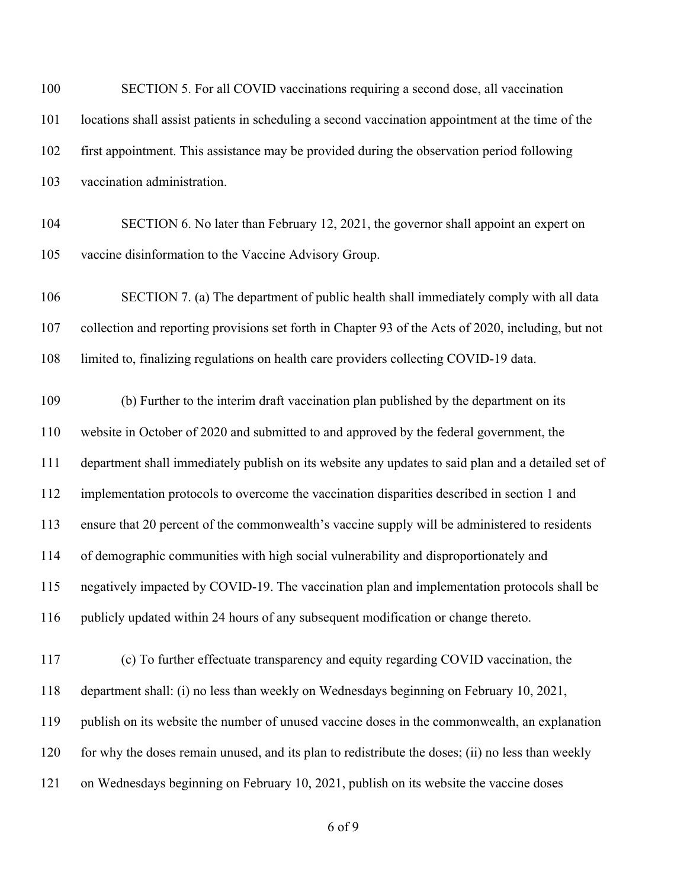| SECTION 5. For all COVID vaccinations requiring a second dose, all vaccination                      |
|-----------------------------------------------------------------------------------------------------|
| locations shall assist patients in scheduling a second vaccination appointment at the time of the   |
| first appointment. This assistance may be provided during the observation period following          |
| vaccination administration.                                                                         |
| SECTION 6. No later than February 12, 2021, the governor shall appoint an expert on                 |
| vaccine disinformation to the Vaccine Advisory Group.                                               |
| SECTION 7. (a) The department of public health shall immediately comply with all data               |
| collection and reporting provisions set forth in Chapter 93 of the Acts of 2020, including, but not |
| limited to, finalizing regulations on health care providers collecting COVID-19 data.               |
| (b) Further to the interim draft vaccination plan published by the department on its                |
| website in October of 2020 and submitted to and approved by the federal government, the             |
| department shall immediately publish on its website any updates to said plan and a detailed set of  |
| implementation protocols to overcome the vaccination disparities described in section 1 and         |
| ensure that 20 percent of the commonwealth's vaccine supply will be administered to residents       |
| of demographic communities with high social vulnerability and disproportionately and                |
| negatively impacted by COVID-19. The vaccination plan and implementation protocols shall be         |
| publicly updated within 24 hours of any subsequent modification or change thereto.                  |
| (c) To further effectuate transparency and equity regarding COVID vaccination, the                  |
| department shall: (i) no less than weekly on Wednesdays beginning on February 10, 2021,             |
| publish on its website the number of unused vaccine doses in the commonwealth, an explanation       |
| for why the doses remain unused, and its plan to redistribute the doses; (ii) no less than weekly   |
| on Wednesdays beginning on February 10, 2021, publish on its website the vaccine doses              |
|                                                                                                     |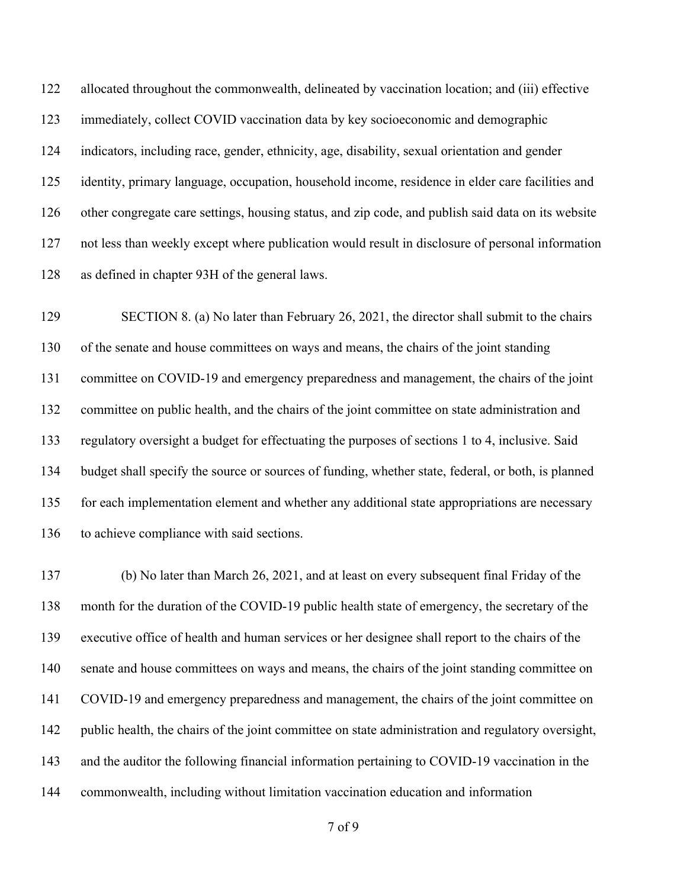allocated throughout the commonwealth, delineated by vaccination location; and (iii) effective immediately, collect COVID vaccination data by key socioeconomic and demographic indicators, including race, gender, ethnicity, age, disability, sexual orientation and gender identity, primary language, occupation, household income, residence in elder care facilities and other congregate care settings, housing status, and zip code, and publish said data on its website not less than weekly except where publication would result in disclosure of personal information as defined in chapter 93H of the general laws.

 SECTION 8. (a) No later than February 26, 2021, the director shall submit to the chairs of the senate and house committees on ways and means, the chairs of the joint standing committee on COVID-19 and emergency preparedness and management, the chairs of the joint committee on public health, and the chairs of the joint committee on state administration and regulatory oversight a budget for effectuating the purposes of sections 1 to 4, inclusive. Said budget shall specify the source or sources of funding, whether state, federal, or both, is planned for each implementation element and whether any additional state appropriations are necessary to achieve compliance with said sections.

 (b) No later than March 26, 2021, and at least on every subsequent final Friday of the month for the duration of the COVID-19 public health state of emergency, the secretary of the executive office of health and human services or her designee shall report to the chairs of the senate and house committees on ways and means, the chairs of the joint standing committee on COVID-19 and emergency preparedness and management, the chairs of the joint committee on 142 public health, the chairs of the joint committee on state administration and regulatory oversight, and the auditor the following financial information pertaining to COVID-19 vaccination in the commonwealth, including without limitation vaccination education and information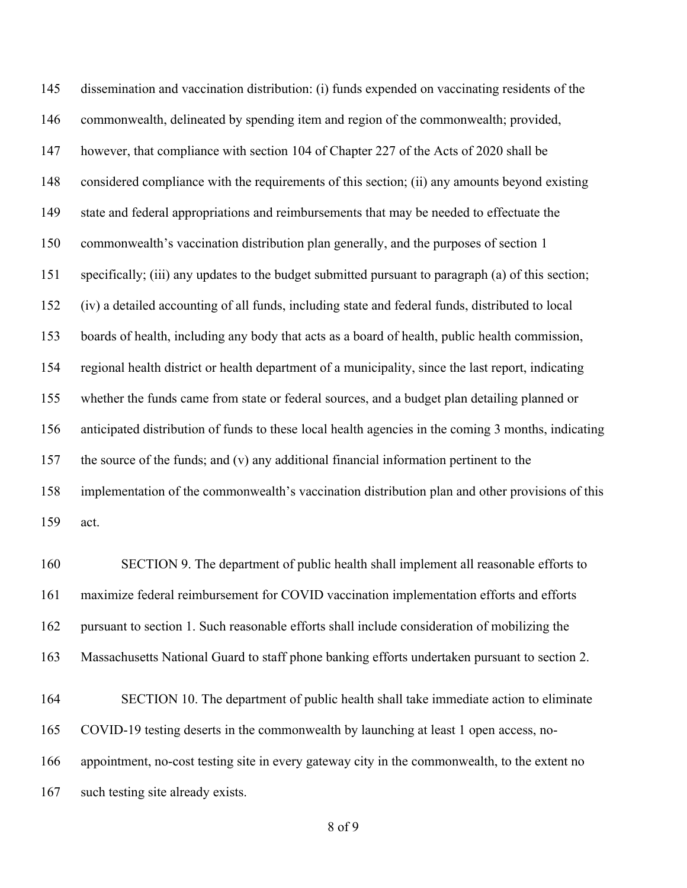dissemination and vaccination distribution: (i) funds expended on vaccinating residents of the commonwealth, delineated by spending item and region of the commonwealth; provided, however, that compliance with section 104 of Chapter 227 of the Acts of 2020 shall be considered compliance with the requirements of this section; (ii) any amounts beyond existing state and federal appropriations and reimbursements that may be needed to effectuate the commonwealth's vaccination distribution plan generally, and the purposes of section 1 specifically; (iii) any updates to the budget submitted pursuant to paragraph (a) of this section; (iv) a detailed accounting of all funds, including state and federal funds, distributed to local boards of health, including any body that acts as a board of health, public health commission, regional health district or health department of a municipality, since the last report, indicating whether the funds came from state or federal sources, and a budget plan detailing planned or anticipated distribution of funds to these local health agencies in the coming 3 months, indicating the source of the funds; and (v) any additional financial information pertinent to the implementation of the commonwealth's vaccination distribution plan and other provisions of this act. SECTION 9. The department of public health shall implement all reasonable efforts to maximize federal reimbursement for COVID vaccination implementation efforts and efforts

pursuant to section 1. Such reasonable efforts shall include consideration of mobilizing the

Massachusetts National Guard to staff phone banking efforts undertaken pursuant to section 2.

 SECTION 10. The department of public health shall take immediate action to eliminate COVID-19 testing deserts in the commonwealth by launching at least 1 open access, no- appointment, no-cost testing site in every gateway city in the commonwealth, to the extent no such testing site already exists.